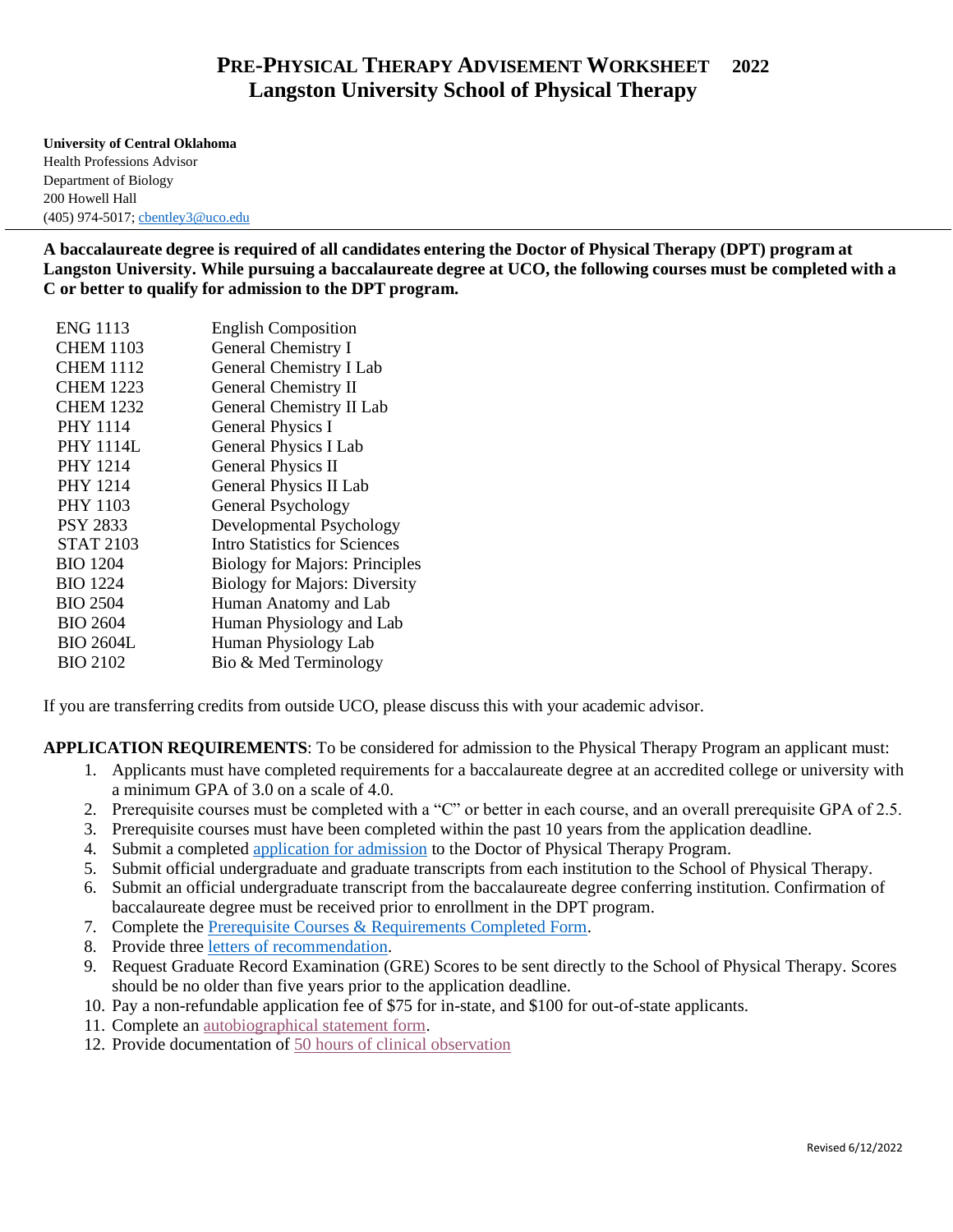## **PRE-PHYSICAL THERAPY ADVISEMENT WORKSHEET 2022 Langston University School of Physical Therapy**

**University of Central Oklahoma** Health Professions Advisor Department of Biology 200 Howell Hall (405) 974-5017; [cbentley3@uco.edu](mailto:cbentley3@uco.edu)

**A baccalaureate degree is required of all candidates entering the Doctor of Physical Therapy (DPT) program at Langston University. While pursuing a baccalaureate degree at UCO, the following courses must be completed with a C or better to qualify for admission to the DPT program.**

| <b>ENG 1113</b>  | <b>English Composition</b>            |
|------------------|---------------------------------------|
| <b>CHEM 1103</b> | General Chemistry I                   |
| <b>CHEM 1112</b> | General Chemistry I Lab               |
| <b>CHEM 1223</b> | General Chemistry II                  |
| <b>CHEM 1232</b> | General Chemistry II Lab              |
| <b>PHY 1114</b>  | <b>General Physics I</b>              |
| <b>PHY 1114L</b> | <b>General Physics I Lab</b>          |
| <b>PHY 1214</b>  | <b>General Physics II</b>             |
| <b>PHY 1214</b>  | <b>General Physics II Lab</b>         |
| <b>PHY 1103</b>  | General Psychology                    |
| <b>PSY 2833</b>  | Developmental Psychology              |
| <b>STAT 2103</b> | Intro Statistics for Sciences         |
| <b>BIO 1204</b>  | <b>Biology for Majors: Principles</b> |
| <b>BIO</b> 1224  | <b>Biology for Majors: Diversity</b>  |
| <b>BIO 2504</b>  | Human Anatomy and Lab                 |
| <b>BIO 2604</b>  | Human Physiology and Lab              |
| <b>BIO 2604L</b> | Human Physiology Lab                  |
| <b>BIO 2102</b>  | Bio & Med Terminology                 |
|                  |                                       |

If you are transferring credits from outside UCO, please discuss this with your academic advisor.

**APPLICATION REQUIREMENTS**: To be considered for admission to the Physical Therapy Program an applicant must:

- 1. Applicants must have completed requirements for a baccalaureate degree at an accredited college or university with a minimum GPA of 3.0 on a scale of 4.0.
- 2. Prerequisite courses must be completed with a "C" or better in each course, and an overall prerequisite GPA of 2.5.
- 3. Prerequisite courses must have been completed within the past 10 years from the application deadline.
- 4. Submit a complete[d application for admission](https://www.langston.edu/dptapplication) to the Doctor of Physical Therapy Program.
- 5. Submit official undergraduate and graduate transcripts from each institution to the School of Physical Therapy.
- 6. Submit an official undergraduate transcript from the baccalaureate degree conferring institution. Confirmation of baccalaureate degree must be received prior to enrollment in the DPT program.
- 7. Complete th[e Prerequisite Courses & Requirements Completed Form.](https://www.langston.edu/sites/default/files/basic-content-files/Prerequisite%20Courses%20&%20Requirements%20Completed.pdf)
- 8. Provide thre[e letters of recommendation.](https://www.langston.edu/sites/default/files/basic-content-files/Recommendation%20of%20Applicant.pdf)
- 9. Request Graduate Record Examination (GRE) Scores to be sent directly to the School of Physical Therapy. Scores should be no older than five years prior to the application deadline.
- 10. Pay a non-refundable application fee of \$75 for in-state, and \$100 for out-of-state applicants.
- 11. Complete a[n autobiographical statement form.](https://www.langston.edu/sites/default/files/basic-content-files/Autobiographical%20Statement.pdf)
- 12. Provide documentation of [50 hours of clinical observation](https://www.langston.edu/sites/default/files/basic-content-files/Clinical%20Observation.pdf)